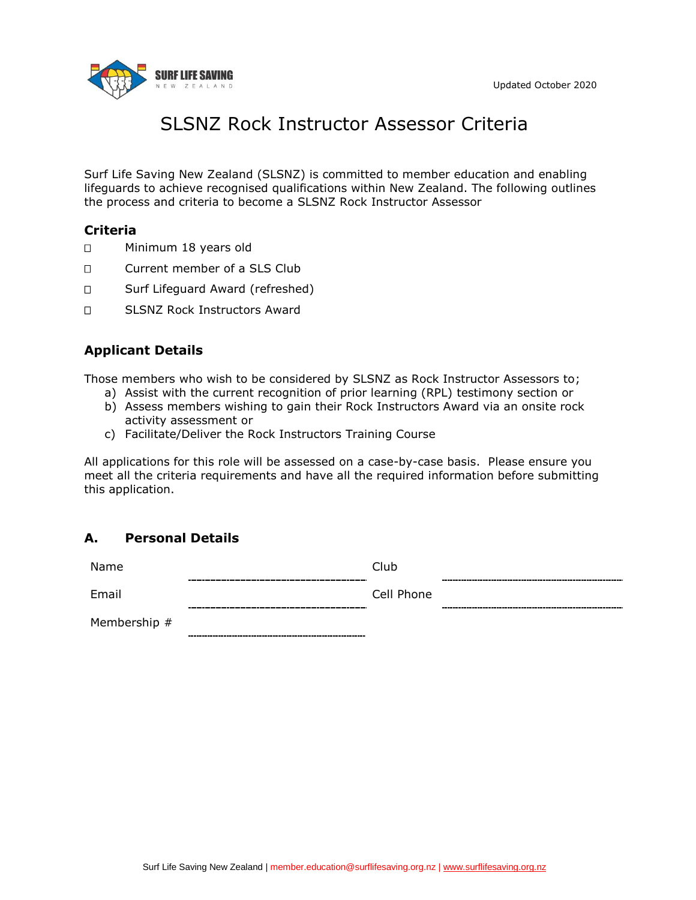

# SLSNZ Rock Instructor Assessor Criteria

Surf Life Saving New Zealand (SLSNZ) is committed to member education and enabling lifeguards to achieve recognised qualifications within New Zealand. The following outlines the process and criteria to become a SLSNZ Rock Instructor Assessor

## **Criteria**

- D Minimum 18 years old
- Current member of a SLS Club
- □ Surf Lifeguard Award (refreshed)
- □ SLSNZ Rock Instructors Award

## **Applicant Details**

Those members who wish to be considered by SLSNZ as Rock Instructor Assessors to;

- a) Assist with the current recognition of prior learning (RPL) testimony section or
- b) Assess members wishing to gain their Rock Instructors Award via an onsite rock activity assessment or
- c) Facilitate/Deliver the Rock Instructors Training Course

All applications for this role will be assessed on a case-by-case basis. Please ensure you meet all the criteria requirements and have all the required information before submitting this application.

## **A. Personal Details**

| Name         | Club                           |
|--------------|--------------------------------|
| Email        | Cell Phone<br>________________ |
| Membership # |                                |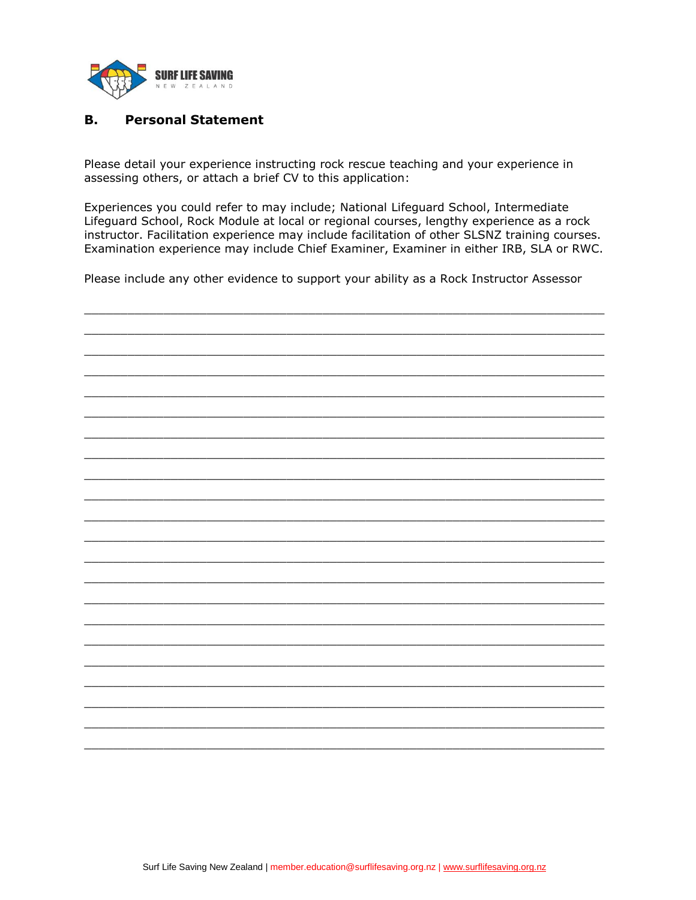

#### **B. Personal Statement**

Please detail your experience instructing rock rescue teaching and your experience in assessing others, or attach a brief CV to this application:

Experiences you could refer to may include; National Lifeguard School, Intermediate Lifeguard School, Rock Module at local or regional courses, lengthy experience as a rock instructor. Facilitation experience may include facilitation of other SLSNZ training courses. Examination experience may include Chief Examiner, Examiner in either IRB, SLA or RWC.

Please include any other evidence to support your ability as a Rock Instructor Assessor